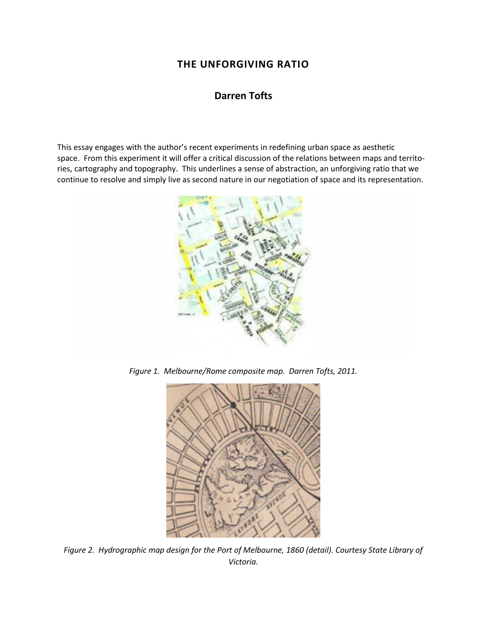# **THE UNFORGIVING RATIO**

## **Darren Tofts**

This essay engages with the author's recent experiments in redefining urban space as aesthetic space. From this experiment it will offer a critical discussion of the relations between maps and territories, cartography and topography. This underlines a sense of abstraction, an unforgiving ratio that we continue to resolve and simply live as second nature in our negotiation of space and its representation.



*Figure 1. Melbourne/Rome composite map. Darren Tofts, 2011.*



*Figure 2. Hydrographic map design for the Port of Melbourne, 1860 (detail). Courtesy State Library of Victoria.*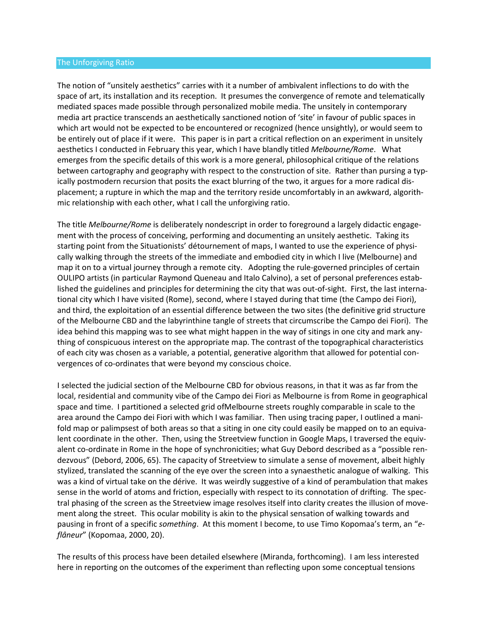#### The Unforgiving Ratio

The notion of "unsitely aesthetics" carries with it a number of ambivalent inflections to do with the space of art, its installation and its reception. It presumes the convergence of remote and telematically mediated spaces made possible through personalized mobile media. The unsitely in contemporary media art practice transcends an aesthetically sanctioned notion of 'site' in favour of public spaces in which art would not be expected to be encountered or recognized (hence unsightly), or would seem to be entirely out of place if it were. This paper is in part a critical reflection on an experiment in unsitely aesthetics I conducted in February this year, which I have blandly titled *Melbourne/Rome*. What emerges from the specific details of this work is a more general, philosophical critique of the relations between cartography and geography with respect to the construction of site. Rather than pursing a typically postmodern recursion that posits the exact blurring of the two, it argues for a more radical displacement; a rupture in which the map and the territory reside uncomfortably in an awkward, algorithmic relationship with each other, what I call the unforgiving ratio.

The title *Melbourne/Rome* is deliberately nondescript in order to foreground a largely didactic engagement with the process of conceiving, performing and documenting an unsitely aesthetic. Taking its starting point from the Situationists' détournement of maps, I wanted to use the experience of physically walking through the streets of the immediate and embodied city in which I live (Melbourne) and map it on to a virtual journey through a remote city. Adopting the rule-governed principles of certain OULIPO artists (in particular Raymond Queneau and Italo Calvino), a set of personal preferences established the guidelines and principles for determining the city that was out-of-sight. First, the last international city which I have visited (Rome), second, where I stayed during that time (the Campo dei Fiori), and third, the exploitation of an essential difference between the two sites (the definitive grid structure of the Melbourne CBD and the labyrinthine tangle of streets that circumscribe the Campo dei Fiori). The idea behind this mapping was to see what might happen in the way of sitings in one city and mark anything of conspicuous interest on the appropriate map. The contrast of the topographical characteristics of each city was chosen as a variable, a potential, generative algorithm that allowed for potential convergences of co-ordinates that were beyond my conscious choice.

I selected the judicial section of the Melbourne CBD for obvious reasons, in that it was as far from the local, residential and community vibe of the Campo dei Fiori as Melbourne is from Rome in geographical space and time. I partitioned a selected grid ofMelbourne streets roughly comparable in scale to the area around the Campo dei Fiori with which I was familiar. Then using tracing paper, I outlined a manifold map or palimpsest of both areas so that a siting in one city could easily be mapped on to an equivalent coordinate in the other. Then, using the Streetview function in Google Maps, I traversed the equivalent co-ordinate in Rome in the hope of synchronicities; what Guy Debord described as a "possible rendezvous" (Debord, 2006, 65). The capacity of Streetview to simulate a sense of movement, albeit highly stylized, translated the scanning of the eye over the screen into a synaesthetic analogue of walking. This was a kind of virtual take on the dérive. It was weirdly suggestive of a kind of perambulation that makes sense in the world of atoms and friction, especially with respect to its connotation of drifting. The spectral phasing of the screen as the Streetview image resolves itself into clarity creates the illusion of movement along the street. This ocular mobility is akin to the physical sensation of walking towards and pausing in front of a specific *something*. At this moment I become, to use Timo Kopomaa's term, an "*eflâneur*" (Kopomaa, 2000, 20).

The results of this process have been detailed elsewhere (Miranda, forthcoming). I am less interested here in reporting on the outcomes of the experiment than reflecting upon some conceptual tensions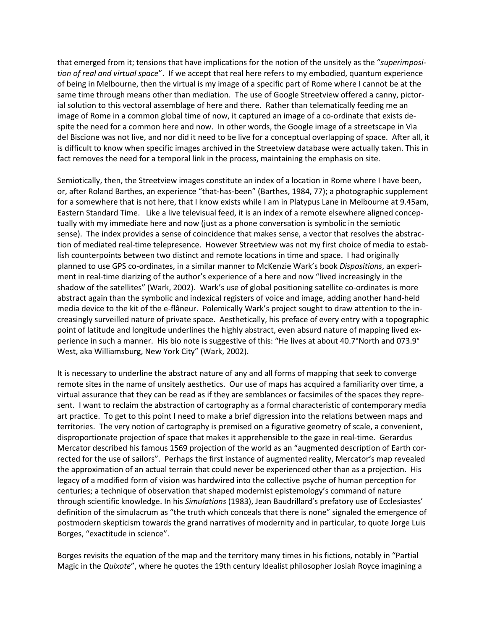that emerged from it; tensions that have implications for the notion of the unsitely as the "*superimposition of real and virtual space*". If we accept that real here refers to my embodied, quantum experience of being in Melbourne, then the virtual is my image of a specific part of Rome where I cannot be at the same time through means other than mediation. The use of Google Streetview offered a canny, pictorial solution to this vectoral assemblage of here and there. Rather than telematically feeding me an image of Rome in a common global time of now, it captured an image of a co-ordinate that exists despite the need for a common here and now. In other words, the Google image of a streetscape in Via del Biscione was not live, and nor did it need to be live for a conceptual overlapping of space. After all, it is difficult to know when specific images archived in the Streetview database were actually taken. This in fact removes the need for a temporal link in the process, maintaining the emphasis on site.

Semiotically, then, the Streetview images constitute an index of a location in Rome where I have been, or, after Roland Barthes, an experience "that-has-been" (Barthes, 1984, 77); a photographic supplement for a somewhere that is not here, that I know exists while I am in Platypus Lane in Melbourne at 9.45am, Eastern Standard Time. Like a live televisual feed, it is an index of a remote elsewhere aligned conceptually with my immediate here and now (just as a phone conversation is symbolic in the semiotic sense). The index provides a sense of coincidence that makes sense, a vector that resolves the abstraction of mediated real-time telepresence. However Streetview was not my first choice of media to establish counterpoints between two distinct and remote locations in time and space. I had originally planned to use GPS co-ordinates, in a similar manner to McKenzie Wark's book *Dispositions*, an experiment in real-time diarizing of the author's experience of a here and now "lived increasingly in the shadow of the satellites" (Wark, 2002). Wark's use of global positioning satellite co-ordinates is more abstract again than the symbolic and indexical registers of voice and image, adding another hand-held media device to the kit of the e-flâneur. Polemically Wark's project sought to draw attention to the increasingly surveilled nature of private space. Aesthetically, his preface of every entry with a topographic point of latitude and longitude underlines the highly abstract, even absurd nature of mapping lived experience in such a manner. His bio note is suggestive of this: "He lives at about 40.7°North and 073.9° West, aka Williamsburg, New York City" (Wark, 2002).

It is necessary to underline the abstract nature of any and all forms of mapping that seek to converge remote sites in the name of unsitely aesthetics. Our use of maps has acquired a familiarity over time, a virtual assurance that they can be read as if they are semblances or facsimiles of the spaces they represent. I want to reclaim the abstraction of cartography as a formal characteristic of contemporary media art practice. To get to this point I need to make a brief digression into the relations between maps and territories. The very notion of cartography is premised on a figurative geometry of scale, a convenient, disproportionate projection of space that makes it apprehensible to the gaze in real-time. Gerardus Mercator described his famous 1569 projection of the world as an "augmented description of Earth corrected for the use of sailors". Perhaps the first instance of augmented reality, Mercator's map revealed the approximation of an actual terrain that could never be experienced other than as a projection. His legacy of a modified form of vision was hardwired into the collective psyche of human perception for centuries; a technique of observation that shaped modernist epistemology's command of nature through scientific knowledge. In his *Simulations* (1983), Jean Baudrillard's prefatory use of Ecclesiastes' definition of the simulacrum as "the truth which conceals that there is none" signaled the emergence of postmodern skepticism towards the grand narratives of modernity and in particular, to quote Jorge Luis Borges, "exactitude in science".

Borges revisits the equation of the map and the territory many times in his fictions, notably in "Partial Magic in the *Quixote*", where he quotes the 19th century Idealist philosopher Josiah Royce imagining a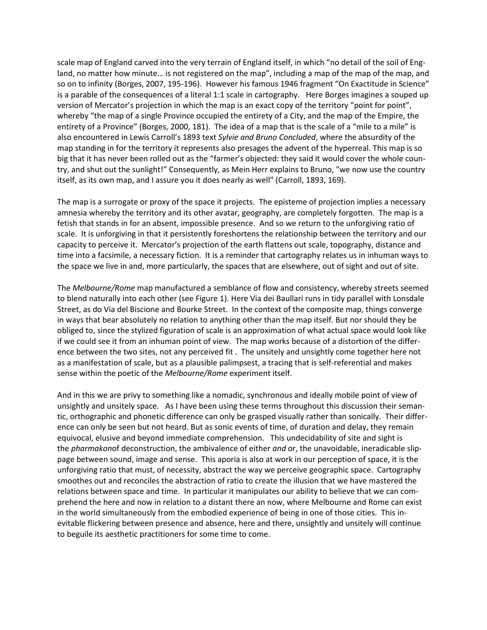scale map of England carved into the very terrain of England itself, in which "no detail of the soil of England, no matter how minute… is not registered on the map", including a map of the map of the map, and so on to infinity (Borges, 2007, 195-196). However his famous 1946 fragment "On Exactitude in Science" is a parable of the consequences of a literal 1:1 scale in cartography. Here Borges imagines a souped up version of Mercator's projection in which the map is an exact copy of the territory "point for point", whereby "the map of a single Province occupied the entirety of a City, and the map of the Empire, the entirety of a Province" (Borges, 2000, 181). The idea of a map that is the scale of a "mile to a mile" is also encountered in Lewis Carroll's 1893 text *Sylvie and Bruno Concluded*, where the absurdity of the map standing in for the territory it represents also presages the advent of the hyperreal. This map is so big that it has never been rolled out as the "farmer's objected: they said it would cover the whole country, and shut out the sunlight!" Consequently, as Mein Herr explains to Bruno, "we now use the country itself, as its own map, and I assure you it does nearly as well" (Carroll, 1893, 169).

The map is a surrogate or proxy of the space it projects. The episteme of projection implies a necessary amnesia whereby the territory and its other avatar, geography, are completely forgotten. The map is a fetish that stands in for an absent, impossible presence. And so we return to the unforgiving ratio of scale. It is unforgiving in that it persistently foreshortens the relationship between the territory and our capacity to perceive it. Mercator's projection of the earth flattens out scale, topography, distance and time into a facsimile, a necessary fiction. It is a reminder that cartography relates us in inhuman ways to the space we live in and, more particularly, the spaces that are elsewhere, out of sight and out of site.

The *Melbourne/Rome* map manufactured a semblance of flow and consistency, whereby streets seemed to blend naturally into each other (see Figure 1). Here Via dei Baullari runs in tidy parallel with Lonsdale Street, as do Via del Biscione and Bourke Street. In the context of the composite map, things converge in ways that bear absolutely no relation to anything other than the map itself. But nor should they be obliged to, since the stylized figuration of scale is an approximation of what actual space would look like if we could see it from an inhuman point of view. The map works because of a distortion of the difference between the two sites, not any perceived fit . The unsitely and unsightly come together here not as a manifestation of scale, but as a plausible palimpsest, a tracing that is self-referential and makes sense within the poetic of the *Melbourne/Rome* experiment itself.

And in this we are privy to something like a nomadic, synchronous and ideally mobile point of view of unsightly and unsitely space. As I have been using these terms throughout this discussion their semantic, orthographic and phonetic difference can only be grasped visually rather than sonically. Their difference can only be seen but not heard. But as sonic events of time, of duration and delay, they remain equivocal, elusive and beyond immediate comprehension. This undecidability of site and sight is the *pharmakon*of deconstruction, the ambivalence of either *and* or, the unavoidable, ineradicable slippage between sound, image and sense. This aporia is also at work in our perception of space, it is the unforgiving ratio that must, of necessity, abstract the way we perceive geographic space. Cartography smoothes out and reconciles the abstraction of ratio to create the illusion that we have mastered the relations between space and time. In particular it manipulates our ability to believe that we can comprehend the here and now in relation to a distant there an now, where Melbourne and Rome can exist in the world simultaneously from the embodied experience of being in one of those cities. This inevitable flickering between presence and absence, here and there, unsightly and unsitely will continue to beguile its aesthetic practitioners for some time to come.